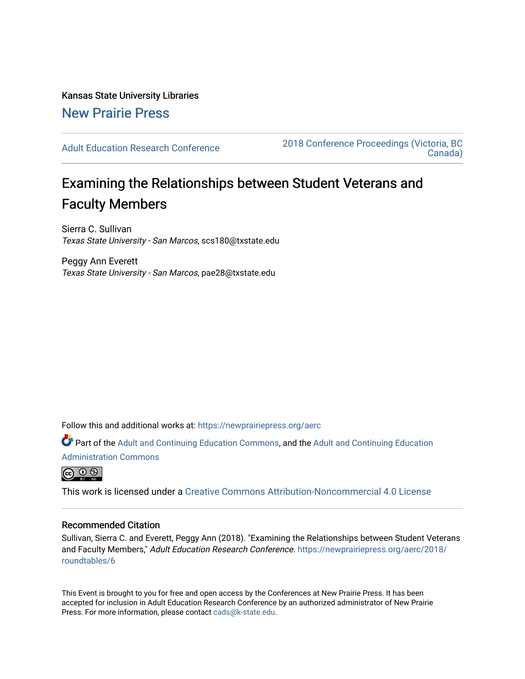Kansas State University Libraries [New Prairie Press](https://newprairiepress.org/) 

[Adult Education Research Conference](https://newprairiepress.org/aerc) [2018 Conference Proceedings \(Victoria, BC](https://newprairiepress.org/aerc/2018)  [Canada\)](https://newprairiepress.org/aerc/2018) 

# Examining the Relationships between Student Veterans and Faculty Members

Sierra C. Sullivan Texas State University - San Marcos, scs180@txstate.edu

Peggy Ann Everett Texas State University - San Marcos, pae28@txstate.edu

Follow this and additional works at: [https://newprairiepress.org/aerc](https://newprairiepress.org/aerc?utm_source=newprairiepress.org%2Faerc%2F2018%2Froundtables%2F6&utm_medium=PDF&utm_campaign=PDFCoverPages)

Part of the [Adult and Continuing Education Commons,](http://network.bepress.com/hgg/discipline/1375?utm_source=newprairiepress.org%2Faerc%2F2018%2Froundtables%2F6&utm_medium=PDF&utm_campaign=PDFCoverPages) and the [Adult and Continuing Education](http://network.bepress.com/hgg/discipline/789?utm_source=newprairiepress.org%2Faerc%2F2018%2Froundtables%2F6&utm_medium=PDF&utm_campaign=PDFCoverPages) [Administration Commons](http://network.bepress.com/hgg/discipline/789?utm_source=newprairiepress.org%2Faerc%2F2018%2Froundtables%2F6&utm_medium=PDF&utm_campaign=PDFCoverPages) 



This work is licensed under a [Creative Commons Attribution-Noncommercial 4.0 License](https://creativecommons.org/licenses/by-nc/4.0/)

# Recommended Citation

Sullivan, Sierra C. and Everett, Peggy Ann (2018). "Examining the Relationships between Student Veterans and Faculty Members," Adult Education Research Conference. [https://newprairiepress.org/aerc/2018/](https://newprairiepress.org/aerc/2018/roundtables/6) [roundtables/6](https://newprairiepress.org/aerc/2018/roundtables/6) 

This Event is brought to you for free and open access by the Conferences at New Prairie Press. It has been accepted for inclusion in Adult Education Research Conference by an authorized administrator of New Prairie Press. For more information, please contact [cads@k-state.edu.](mailto:cads@k-state.edu)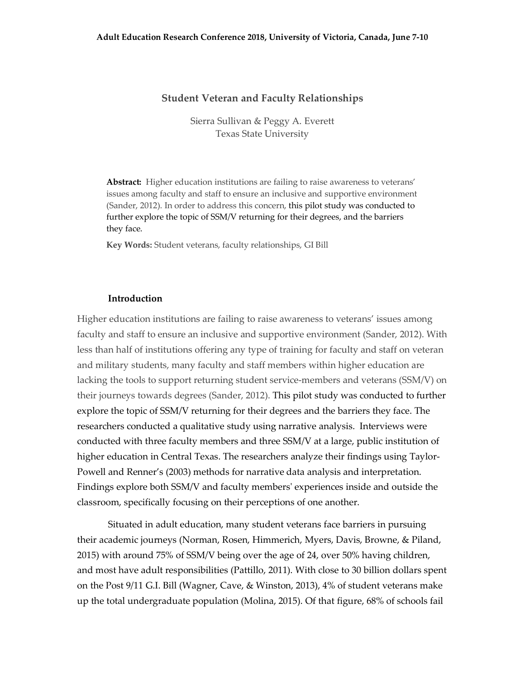## **Student Veteran and Faculty Relationships**

Sierra Sullivan & Peggy A. Everett Texas State University

**Abstract:** Higher education institutions are failing to raise awareness to veterans' issues among faculty and staff to ensure an inclusive and supportive environment (Sander, 2012). In order to address this concern, this pilot study was conducted to further explore the topic of SSM/V returning for their degrees, and the barriers they face.

**Key Words:** Student veterans, faculty relationships, GI Bill

#### **Introduction**

Higher education institutions are failing to raise awareness to veterans' issues among faculty and staff to ensure an inclusive and supportive environment (Sander, 2012). With less than half of institutions offering any type of training for faculty and staff on veteran and military students, many faculty and staff members within higher education are lacking the tools to support returning student service-members and veterans (SSM/V) on their journeys towards degrees (Sander, 2012). This pilot study was conducted to further explore the topic of SSM/V returning for their degrees and the barriers they face. The researchers conducted a qualitative study using narrative analysis. Interviews were conducted with three faculty members and three SSM/V at a large, public institution of higher education in Central Texas. The researchers analyze their findings using Taylor-Powell and Renner's (2003) methods for narrative data analysis and interpretation. Findings explore both SSM/V and faculty members' experiences inside and outside the classroom, specifically focusing on their perceptions of one another.

Situated in adult education, many student veterans face barriers in pursuing their academic journeys (Norman, Rosen, Himmerich, Myers, Davis, Browne, & Piland, 2015) with around 75% of SSM/V being over the age of 24, over 50% having children, and most have adult responsibilities (Pattillo, 2011). With close to 30 billion dollars spent on the Post 9/11 G.I. Bill (Wagner, Cave, & Winston, 2013), 4% of student veterans make up the total undergraduate population (Molina, 2015). Of that figure, 68% of schools fail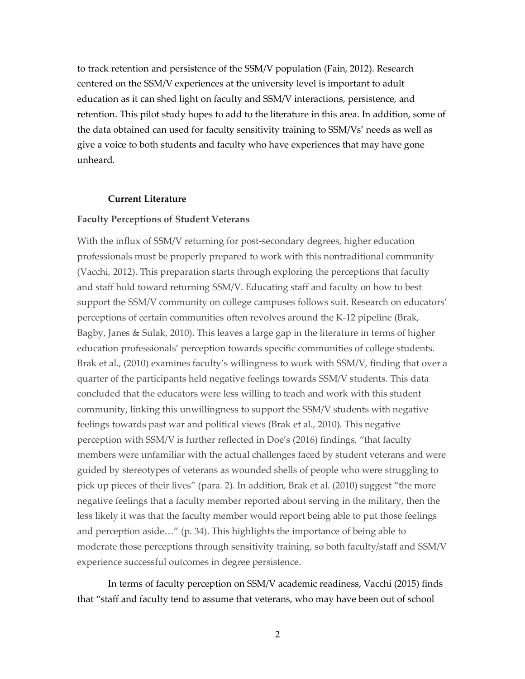to track retention and persistence of the SSM/V population (Fain, 2012). Research centered on the SSM/V experiences at the university level is important to adult education as it can shed light on faculty and SSM/V interactions, persistence, and retention. This pilot study hopes to add to the literature in this area. In addition, some of the data obtained can used for faculty sensitivity training to SSM/Vs' needs as well as give a voice to both students and faculty who have experiences that may have gone unheard.

#### **Current Literature**

## **Faculty Perceptions of Student Veterans**

With the influx of SSM/V returning for post-secondary degrees, higher education professionals must be properly prepared to work with this nontraditional community (Vacchi, 2012). This preparation starts through exploring the perceptions that faculty and staff hold toward returning SSM/V. Educating staff and faculty on how to best support the SSM/V community on college campuses follows suit. Research on educators' perceptions of certain communities often revolves around the K-12 pipeline (Brak, Bagby, Janes & Sulak, 2010). This leaves a large gap in the literature in terms of higher education professionals' perception towards specific communities of college students. Brak et al., (2010) examines faculty's willingness to work with SSM/V, finding that over a quarter of the participants held negative feelings towards SSM/V students. This data concluded that the educators were less willing to teach and work with this student community, linking this unwillingness to support the SSM/V students with negative feelings towards past war and political views (Brak et al., 2010). This negative perception with SSM/V is further reflected in Doe's (2016) findings, "that faculty members were unfamiliar with the actual challenges faced by student veterans and were guided by stereotypes of veterans as wounded shells of people who were struggling to pick up pieces of their lives" (para. 2). In addition, Brak et al. (2010) suggest "the more negative feelings that a faculty member reported about serving in the military, then the less likely it was that the faculty member would report being able to put those feelings and perception aside…" (p. 34). This highlights the importance of being able to moderate those perceptions through sensitivity training, so both faculty/staff and SSM/V experience successful outcomes in degree persistence.

In terms of faculty perception on SSM/V academic readiness, Vacchi (2015) finds that "staff and faculty tend to assume that veterans, who may have been out of school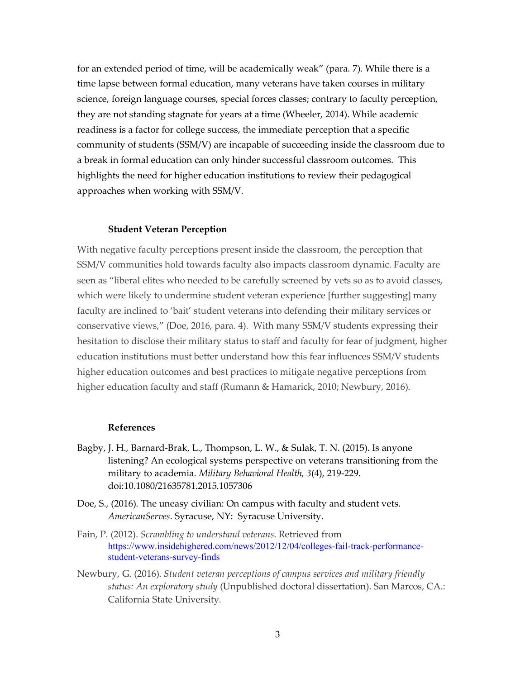for an extended period of time, will be academically weak" (para. 7). While there is a time lapse between formal education, many veterans have taken courses in military science, foreign language courses, special forces classes; contrary to faculty perception, they are not standing stagnate for years at a time (Wheeler, 2014). While academic readiness is a factor for college success, the immediate perception that a specific community of students (SSM/V) are incapable of succeeding inside the classroom due to a break in formal education can only hinder successful classroom outcomes. This highlights the need for higher education institutions to review their pedagogical approaches when working with SSM/V.

## **Student Veteran Perception**

With negative faculty perceptions present inside the classroom, the perception that SSM/V communities hold towards faculty also impacts classroom dynamic. Faculty are seen as "liberal elites who needed to be carefully screened by vets so as to avoid classes, which were likely to undermine student veteran experience [further suggesting] many faculty are inclined to 'bait' student veterans into defending their military services or conservative views," (Doe, 2016, para. 4). With many SSM/V students expressing their hesitation to disclose their military status to staff and faculty for fear of judgment, higher education institutions must better understand how this fear influences SSM/V students higher education outcomes and best practices to mitigate negative perceptions from higher education faculty and staff (Rumann & Hamarick, 2010; Newbury, 2016).

#### **References**

- Bagby, J. H., Barnard-Brak, L., Thompson, L. W., & Sulak, T. N. (2015). Is anyone listening? An ecological systems perspective on veterans transitioning from the military to academia. *Military Behavioral Health, 3*(4), 219-229. doi:10.1080/21635781.2015.1057306
- Doe, S., (2016). The uneasy civilian: On campus with faculty and student vets. *AmericanServes*. Syracuse, NY: Syracuse University.
- Fain, P. (2012). *Scrambling to understand veterans*. Retrieved from https://www.insidehighered.com/news/2012/12/04/colleges-fail-track-performancestudent-veterans-survey-finds
- Newbury, G. (2016). *Student veteran perceptions of campus services and military friendly status: An exploratory study* (Unpublished doctoral dissertation). San Marcos, CA.: California State University*.*